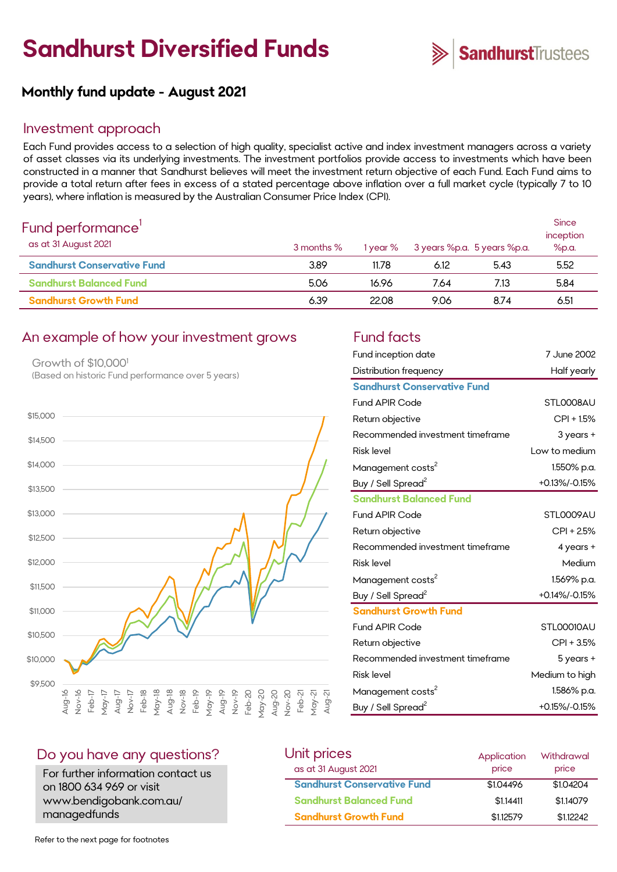# **Sandhurst Diversified Funds**



**Since** 

## **Monthly fund update - August 2021**

#### Investment approach

Each Fund provides access to a selection of high quality, specialist active and index investment managers across a variety of asset classes via its underlying investments. The investment portfolios provide access to investments which have been constructed in a manner that Sandhurst believes will meet the investment return objective of each Fund. Each Fund aims to provide a total return after fees in excess of a stated percentage above inflation over a full market cycle (typically 7 to 10 years), where inflation is measured by the Australian Consumer Price Index (CPI).

| Fund performance <sup>1</sup> |  |
|-------------------------------|--|
| $\alpha s$ at 31 August 2021  |  |

| . C. . C. po C. . C. C. C<br>as at 31 August 2021 | 3 months % | 1 year % | 3 years %p.a. 5 years %p.a. |      | inception<br>%p.a. |  |
|---------------------------------------------------|------------|----------|-----------------------------|------|--------------------|--|
| <b>Sandhurst Conservative Fund</b>                | 3.89       | 11.78    | 6.12                        | 5.43 | 5.52               |  |
| <b>Sandhurst Balanced Fund</b>                    | 5.06       | 16.96    | 7.64                        | 7.13 | 5.84               |  |
| <b>Sandhurst Growth Fund</b>                      | 6.39       | 22.08    | 9.06                        | 8.74 | 6.51               |  |

#### An example of how your investment grows Fund facts

Growth of \$10,0001 (Based on historic Fund performance over 5 years)



| Fund inception date                | 7 June 2002    |
|------------------------------------|----------------|
| Distribution frequency             | Half yearly    |
| <b>Sandhurst Conservative Fund</b> |                |
| <b>Fund APIR Code</b>              | STL0008AU      |
| Return objective                   | CPI + 1.5%     |
| Recommended investment timeframe   | 3 years +      |
| <b>Risk level</b>                  | Low to medium  |
| Management costs <sup>2</sup>      | 1.550% p.a.    |
| Buy / Sell Spread <sup>2</sup>     | +0.13%/-0.15%  |
| <b>Sandhurst Balanced Fund</b>     |                |
| <b>Fund APIR Code</b>              | STL0009AU      |
| Return objective                   | CPI + 2.5%     |
| Recommended investment timeframe   | 4 years +      |
| <b>Risk level</b>                  | Medium         |
| Management costs <sup>2</sup>      | 1.569% p.a.    |
| Buy / Sell Spread <sup>2</sup>     | +0.14%/-0.15%  |
| <b>Sandhurst Growth Fund</b>       |                |
| <b>Fund APIR Code</b>              | STL00010AU     |
| Return objective                   | CPI + 3.5%     |
| Recommended investment timeframe   | 5 years +      |
| <b>Risk level</b>                  | Medium to high |
| Management costs <sup>2</sup>      | 1.586% p.a.    |
| Buy / Sell Spread <sup>2</sup>     | +0.15%/-0.15%  |

#### Do you have any questions?

For further information contact us on 1800 634 969 or visit www.bendigobank.com.au/ managedfunds

| Unit prices                        | Application | Withdrawal |
|------------------------------------|-------------|------------|
| as at 31 August 2021               | price       | price      |
| <b>Sandhurst Conservative Fund</b> | \$1,04496   | \$1,04204  |
| <b>Sandhurst Balanced Fund</b>     | \$1,14411   | \$1,14079  |
| <b>Sandhurst Growth Fund</b>       | \$112579    | \$1,12242  |

Refer to the next page for footnotes